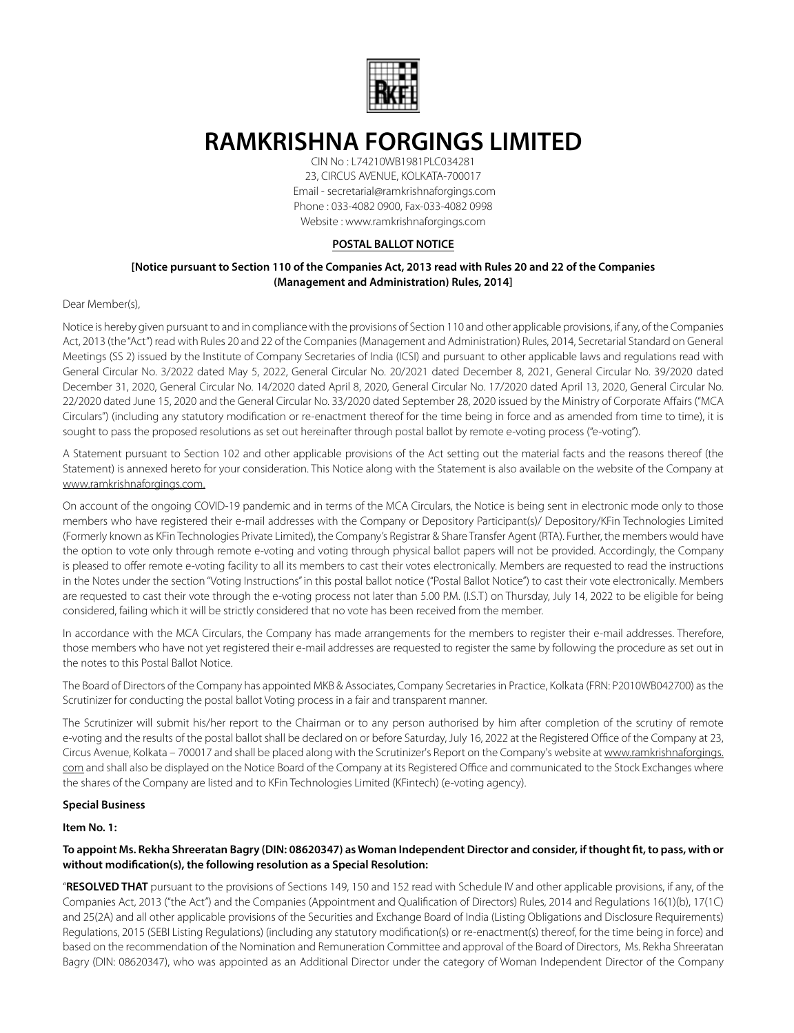

# **RAMKRISHNA FORGINGS LIMITED**

CIN No : L74210WB1981PLC034281 23, CIRCUS AVENUE, KOLKATA-700017 Email - secretarial@ramkrishnaforgings.com Phone : 033-4082 0900, Fax-033-4082 0998 Website : www.ramkrishnaforgings.com

# **POSTAL BALLOT NOTICE**

# **[Notice pursuant to Section 110 of the Companies Act, 2013 read with Rules 20 and 22 of the Companies (Management and Administration) Rules, 2014]**

## Dear Member(s),

Notice is hereby given pursuant to and in compliance with the provisions of Section 110 and other applicable provisions, if any, of the Companies Act, 2013 (the "Act") read with Rules 20 and 22 of the Companies (Management and Administration) Rules, 2014, Secretarial Standard on General Meetings (SS 2) issued by the Institute of Company Secretaries of India (ICSI) and pursuant to other applicable laws and regulations read with General Circular No. 3/2022 dated May 5, 2022, General Circular No. 20/2021 dated December 8, 2021, General Circular No. 39/2020 dated December 31, 2020, General Circular No. 14/2020 dated April 8, 2020, General Circular No. 17/2020 dated April 13, 2020, General Circular No. 22/2020 dated June 15, 2020 and the General Circular No. 33/2020 dated September 28, 2020 issued by the Ministry of Corporate Affairs ("MCA Circulars") (including any statutory modification or re-enactment thereof for the time being in force and as amended from time to time), it is sought to pass the proposed resolutions as set out hereinafter through postal ballot by remote e-voting process ("e-voting").

A Statement pursuant to Section 102 and other applicable provisions of the Act setting out the material facts and the reasons thereof (the Statement) is annexed hereto for your consideration. This Notice along with the Statement is also available on the website of the Company at www.ramkrishnaforgings.com.

On account of the ongoing COVID-19 pandemic and in terms of the MCA Circulars, the Notice is being sent in electronic mode only to those members who have registered their e-mail addresses with the Company or Depository Participant(s)/ Depository/KFin Technologies Limited (Formerly known as KFin Technologies Private Limited), the Company's Registrar & Share Transfer Agent (RTA). Further, the members would have the option to vote only through remote e-voting and voting through physical ballot papers will not be provided. Accordingly, the Company is pleased to offer remote e-voting facility to all its members to cast their votes electronically. Members are requested to read the instructions in the Notes under the section "Voting Instructions" in this postal ballot notice ("Postal Ballot Notice") to cast their vote electronically. Members are requested to cast their vote through the e-voting process not later than 5.00 P.M. (I.S.T) on Thursday, July 14, 2022 to be eligible for being considered, failing which it will be strictly considered that no vote has been received from the member.

In accordance with the MCA Circulars, the Company has made arrangements for the members to register their e-mail addresses. Therefore, those members who have not yet registered their e-mail addresses are requested to register the same by following the procedure as set out in the notes to this Postal Ballot Notice.

The Board of Directors of the Company has appointed MKB & Associates, Company Secretaries in Practice, Kolkata (FRN: P2010WB042700) as the Scrutinizer for conducting the postal ballot Voting process in a fair and transparent manner.

The Scrutinizer will submit his/her report to the Chairman or to any person authorised by him after completion of the scrutiny of remote e-voting and the results of the postal ballot shall be declared on or before Saturday, July 16, 2022 at the Registered Office of the Company at 23, Circus Avenue, Kolkata – 700017 and shall be placed along with the Scrutinizer's Report on the Company's website at www.ramkrishnaforgings. com and shall also be displayed on the Notice Board of the Company at its Registered Office and communicated to the Stock Exchanges where the shares of the Company are listed and to KFin Technologies Limited (KFintech) (e-voting agency).

## **Special Business**

# **Item No. 1:**

# **To appoint Ms. Rekha Shreeratan Bagry (DIN: 08620347) as Woman Independent Director and consider, if thought fit, to pass, with or without modification(s), the following resolution as a Special Resolution:**

"**RESOLVED THAT** pursuant to the provisions of Sections 149, 150 and 152 read with Schedule IV and other applicable provisions, if any, of the Companies Act, 2013 ("the Act") and the Companies (Appointment and Qualification of Directors) Rules, 2014 and Regulations 16(1)(b), 17(1C) and 25(2A) and all other applicable provisions of the Securities and Exchange Board of India (Listing Obligations and Disclosure Requirements) Regulations, 2015 (SEBI Listing Regulations) (including any statutory modification(s) or re-enactment(s) thereof, for the time being in force) and based on the recommendation of the Nomination and Remuneration Committee and approval of the Board of Directors, Ms. Rekha Shreeratan Bagry (DIN: 08620347), who was appointed as an Additional Director under the category of Woman Independent Director of the Company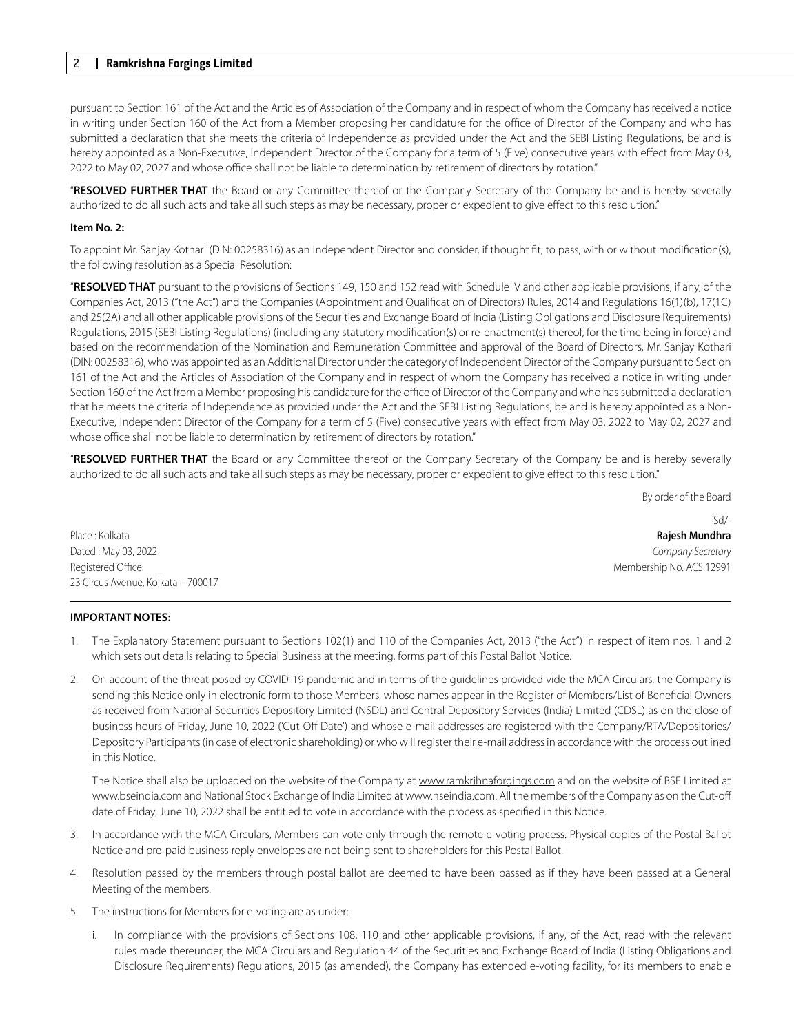# 2 **Ramkrishna Forgings Limited**

pursuant to Section 161 of the Act and the Articles of Association of the Company and in respect of whom the Company has received a notice in writing under Section 160 of the Act from a Member proposing her candidature for the office of Director of the Company and who has submitted a declaration that she meets the criteria of Independence as provided under the Act and the SEBI Listing Regulations, be and is hereby appointed as a Non-Executive, Independent Director of the Company for a term of 5 (Five) consecutive years with effect from May 03, 2022 to May 02, 2027 and whose office shall not be liable to determination by retirement of directors by rotation."

"**RESOLVED FURTHER THAT** the Board or any Committee thereof or the Company Secretary of the Company be and is hereby severally authorized to do all such acts and take all such steps as may be necessary, proper or expedient to give effect to this resolution."

### **Item No. 2:**

To appoint Mr. Sanjay Kothari (DIN: 00258316) as an Independent Director and consider, if thought fit, to pass, with or without modification(s), the following resolution as a Special Resolution:

"**RESOLVED THAT** pursuant to the provisions of Sections 149, 150 and 152 read with Schedule IV and other applicable provisions, if any, of the Companies Act, 2013 ("the Act") and the Companies (Appointment and Qualification of Directors) Rules, 2014 and Regulations 16(1)(b), 17(1C) and 25(2A) and all other applicable provisions of the Securities and Exchange Board of India (Listing Obligations and Disclosure Requirements) Regulations, 2015 (SEBI Listing Regulations) (including any statutory modification(s) or re-enactment(s) thereof, for the time being in force) and based on the recommendation of the Nomination and Remuneration Committee and approval of the Board of Directors, Mr. Sanjay Kothari (DIN: 00258316), who was appointed as an Additional Director under the category of Independent Director of the Company pursuant to Section 161 of the Act and the Articles of Association of the Company and in respect of whom the Company has received a notice in writing under Section 160 of the Act from a Member proposing his candidature for the office of Director of the Company and who has submitted a declaration that he meets the criteria of Independence as provided under the Act and the SEBI Listing Regulations, be and is hereby appointed as a Non-Executive, Independent Director of the Company for a term of 5 (Five) consecutive years with effect from May 03, 2022 to May 02, 2027 and whose office shall not be liable to determination by retirement of directors by rotation."

"**RESOLVED FURTHER THAT** the Board or any Committee thereof or the Company Secretary of the Company be and is hereby severally authorized to do all such acts and take all such steps as may be necessary, proper or expedient to give effect to this resolution."

By order of the Board

Place : Kolkata **Rajesh Mundhra** Dated : May 03, 2022 *Company Secretary* Registered Office: Membership No. ACS 12991 23 Circus Avenue, Kolkata – 700017

Sd/-

#### **IMPORTANT NOTES:**

- 1. The Explanatory Statement pursuant to Sections 102(1) and 110 of the Companies Act, 2013 ("the Act") in respect of item nos. 1 and 2 which sets out details relating to Special Business at the meeting, forms part of this Postal Ballot Notice.
- 2. On account of the threat posed by COVID-19 pandemic and in terms of the guidelines provided vide the MCA Circulars, the Company is sending this Notice only in electronic form to those Members, whose names appear in the Register of Members/List of Beneficial Owners as received from National Securities Depository Limited (NSDL) and Central Depository Services (India) Limited (CDSL) as on the close of business hours of Friday, June 10, 2022 ('Cut-Off Date') and whose e-mail addresses are registered with the Company/RTA/Depositories/ Depository Participants (in case of electronic shareholding) or who will register their e-mail address in accordance with the process outlined in this Notice.

The Notice shall also be uploaded on the website of the Company at www.ramkrihnaforgings.com and on the website of BSE Limited at www.bseindia.com and National Stock Exchange of India Limited at www.nseindia.com. All the members of the Company as on the Cut-off date of Friday, June 10, 2022 shall be entitled to vote in accordance with the process as specified in this Notice.

- 3. In accordance with the MCA Circulars, Members can vote only through the remote e-voting process. Physical copies of the Postal Ballot Notice and pre-paid business reply envelopes are not being sent to shareholders for this Postal Ballot.
- 4. Resolution passed by the members through postal ballot are deemed to have been passed as if they have been passed at a General Meeting of the members.
- 5. The instructions for Members for e-voting are as under:
	- i. In compliance with the provisions of Sections 108, 110 and other applicable provisions, if any, of the Act, read with the relevant rules made thereunder, the MCA Circulars and Regulation 44 of the Securities and Exchange Board of India (Listing Obligations and Disclosure Requirements) Regulations, 2015 (as amended), the Company has extended e-voting facility, for its members to enable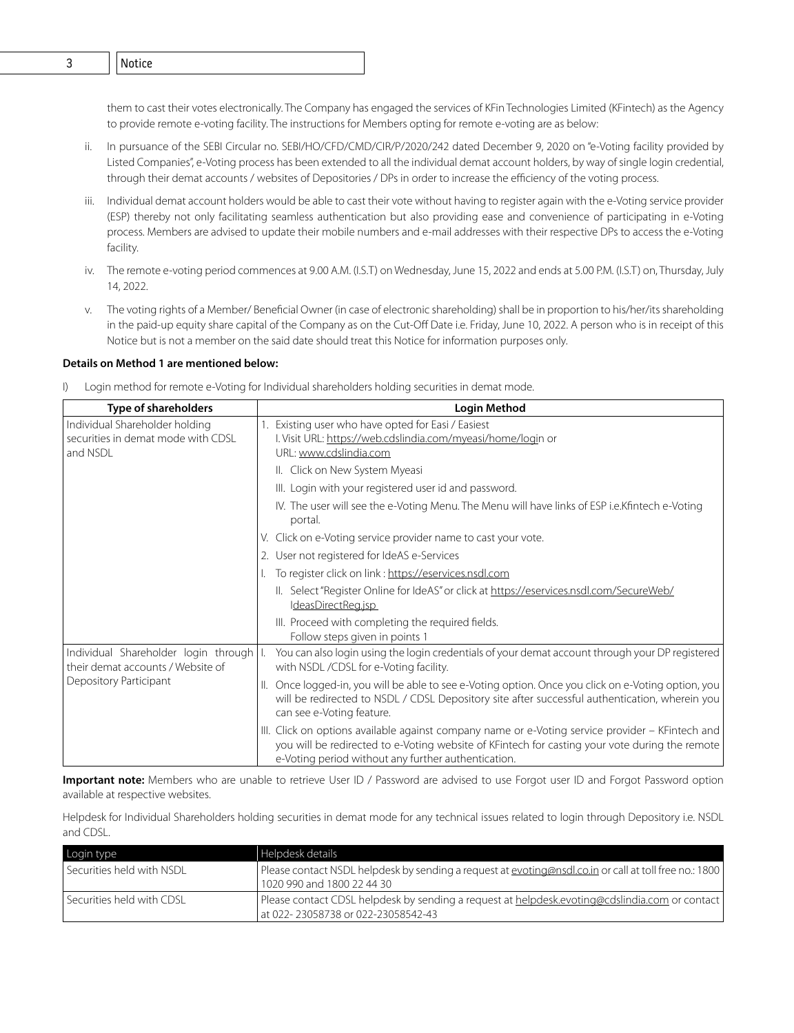them to cast their votes electronically. The Company has engaged the services of KFin Technologies Limited (KFintech) as the Agency to provide remote e-voting facility. The instructions for Members opting for remote e-voting are as below:

- ii. In pursuance of the SEBI Circular no. SEBI/HO/CFD/CMD/CIR/P/2020/242 dated December 9, 2020 on "e-Voting facility provided by Listed Companies", e-Voting process has been extended to all the individual demat account holders, by way of single login credential, through their demat accounts / websites of Depositories / DPs in order to increase the efficiency of the voting process.
- iii. Individual demat account holders would be able to cast their vote without having to register again with the e-Voting service provider (ESP) thereby not only facilitating seamless authentication but also providing ease and convenience of participating in e-Voting process. Members are advised to update their mobile numbers and e-mail addresses with their respective DPs to access the e-Voting facility.
- iv. The remote e-voting period commences at 9.00 A.M. (I.S.T) on Wednesday, June 15, 2022 and ends at 5.00 P.M. (I.S.T) on, Thursday, July 14, 2022.
- v. The voting rights of a Member/ Beneficial Owner (in case of electronic shareholding) shall be in proportion to his/her/its shareholding in the paid-up equity share capital of the Company as on the Cut-Off Date i.e. Friday, June 10, 2022. A person who is in receipt of this Notice but is not a member on the said date should treat this Notice for information purposes only.

#### **Details on Method 1 are mentioned below:**

I) Login method for remote e-Voting for Individual shareholders holding securities in demat mode.

| Type of shareholders                                                             | Login Method                                                                                                                                                                                                                                              |  |
|----------------------------------------------------------------------------------|-----------------------------------------------------------------------------------------------------------------------------------------------------------------------------------------------------------------------------------------------------------|--|
| Individual Shareholder holding<br>securities in demat mode with CDSL<br>and NSDL | Existing user who have opted for Easi / Easiest<br>I. Visit URL: https://web.cdslindia.com/myeasi/home/login or<br>URL: www.cdslindia.com                                                                                                                 |  |
|                                                                                  | II. Click on New System Myeasi                                                                                                                                                                                                                            |  |
|                                                                                  | III. Login with your registered user id and password.                                                                                                                                                                                                     |  |
|                                                                                  | IV. The user will see the e-Voting Menu. The Menu will have links of ESP i.e. Kfintech e-Voting<br>portal.                                                                                                                                                |  |
|                                                                                  | V. Click on e-Voting service provider name to cast your vote.                                                                                                                                                                                             |  |
|                                                                                  | 2. User not registered for IdeAS e-Services                                                                                                                                                                                                               |  |
|                                                                                  | To register click on link : https://eservices.nsdl.com                                                                                                                                                                                                    |  |
|                                                                                  | II. Select "Register Online for IdeAS" or click at https://eservices.nsdl.com/SecureWeb/<br>IdeasDirectReq.jsp                                                                                                                                            |  |
|                                                                                  | III. Proceed with completing the required fields.<br>Follow steps given in points 1                                                                                                                                                                       |  |
| Individual Shareholder login through   I.<br>their demat accounts / Website of   | You can also login using the login credentials of your demat account through your DP registered<br>with NSDL /CDSL for e-Voting facility.                                                                                                                 |  |
| Depository Participant                                                           | II. Once logged-in, you will be able to see e-Voting option. Once you click on e-Voting option, you<br>will be redirected to NSDL / CDSL Depository site after successful authentication, wherein you<br>can see e-Voting feature.                        |  |
|                                                                                  | III. Click on options available against company name or e-Voting service provider – KFintech and<br>you will be redirected to e-Voting website of KFintech for casting your vote during the remote<br>e-Voting period without any further authentication. |  |

**Important note:** Members who are unable to retrieve User ID / Password are advised to use Forgot user ID and Forgot Password option available at respective websites.

Helpdesk for Individual Shareholders holding securities in demat mode for any technical issues related to login through Depository i.e. NSDL and CDSL.

| Login type                | l Helpdesk details                                                                                                                    |
|---------------------------|---------------------------------------------------------------------------------------------------------------------------------------|
| Securities held with NSDL | Please contact NSDL helpdesk by sending a request at evoting@nsdl.co.in or call at toll free no.: 1800<br>1020 990 and 1800 22 44 30  |
| Securities held with CDSL | Please contact CDSL helpdesk by sending a request at helpdesk.evoting@cdslindia.com or contact<br>at 022- 23058738 or 022-23058542-43 |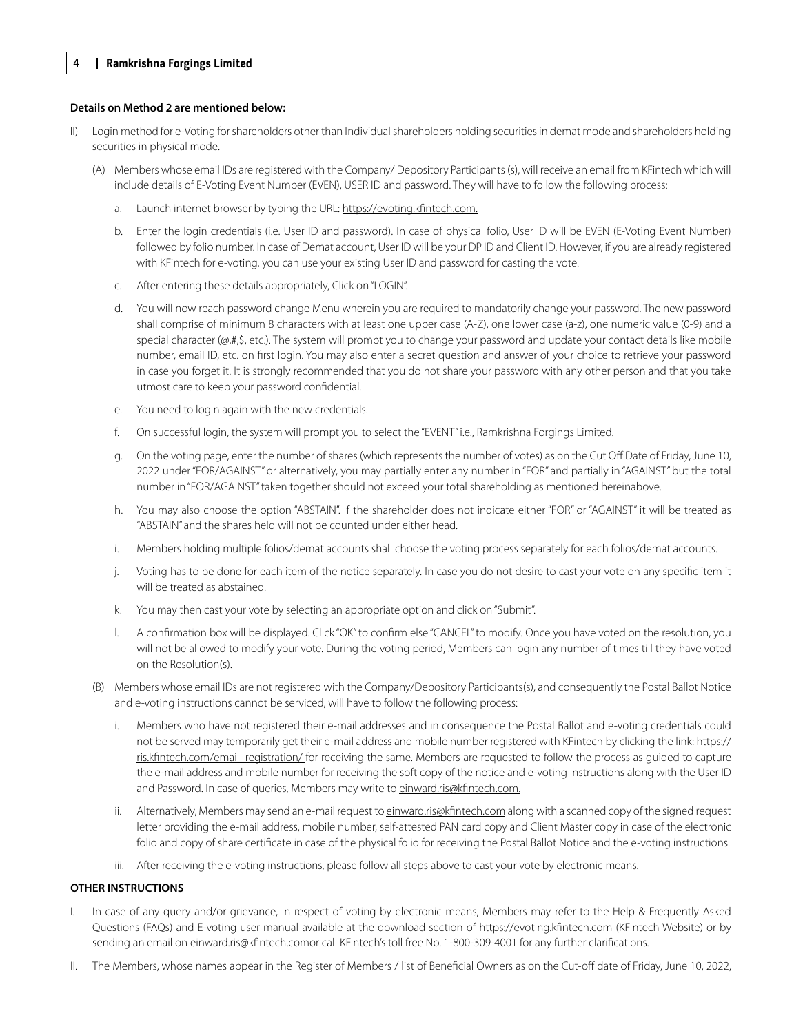#### **Details on Method 2 are mentioned below:**

- Login method for e-Voting for shareholders other than Individual shareholders holding securities in demat mode and shareholders holding securities in physical mode.
	- (A) Members whose email IDs are registered with the Company/ Depository Participants (s), will receive an email from KFintech which will include details of E-Voting Event Number (EVEN), USER ID and password. They will have to follow the following process:
		- a. Launch internet browser by typing the URL: https://evoting.kfintech.com.
		- b. Enter the login credentials (i.e. User ID and password). In case of physical folio, User ID will be EVEN (E-Voting Event Number) followed by folio number. In case of Demat account, User ID will be your DP ID and Client ID. However, if you are already registered with KFintech for e-voting, you can use your existing User ID and password for casting the vote.
		- c. After entering these details appropriately, Click on "LOGIN".
		- d. You will now reach password change Menu wherein you are required to mandatorily change your password. The new password shall comprise of minimum 8 characters with at least one upper case (A-Z), one lower case (a-z), one numeric value (0-9) and a special character ( $@$ ,#, $$$ , etc.). The system will prompt you to change your password and update your contact details like mobile number, email ID, etc. on first login. You may also enter a secret question and answer of your choice to retrieve your password in case you forget it. It is strongly recommended that you do not share your password with any other person and that you take utmost care to keep your password confidential.
		- e. You need to login again with the new credentials.
		- f. On successful login, the system will prompt you to select the "EVENT" i.e., Ramkrishna Forgings Limited.
		- g. On the voting page, enter the number of shares (which represents the number of votes) as on the Cut Off Date of Friday, June 10, 2022 under "FOR/AGAINST" or alternatively, you may partially enter any number in "FOR" and partially in "AGAINST" but the total number in "FOR/AGAINST" taken together should not exceed your total shareholding as mentioned hereinabove.
		- h. You may also choose the option "ABSTAIN". If the shareholder does not indicate either "FOR" or "AGAINST" it will be treated as "ABSTAIN" and the shares held will not be counted under either head.
		- i. Members holding multiple folios/demat accounts shall choose the voting process separately for each folios/demat accounts.
		- j. Voting has to be done for each item of the notice separately. In case you do not desire to cast your vote on any specific item it will be treated as abstained.
		- k. You may then cast your vote by selecting an appropriate option and click on "Submit".
		- l. A confirmation box will be displayed. Click "OK" to confirm else "CANCEL" to modify. Once you have voted on the resolution, you will not be allowed to modify your vote. During the voting period, Members can login any number of times till they have voted on the Resolution(s).
	- (B) Members whose email IDs are not registered with the Company/Depository Participants(s), and consequently the Postal Ballot Notice and e-voting instructions cannot be serviced, will have to follow the following process:
		- i. Members who have not registered their e-mail addresses and in consequence the Postal Ballot and e-voting credentials could not be served may temporarily get their e-mail address and mobile number registered with KFintech by clicking the link: https:// ris.kfintech.com/email\_registration/ for receiving the same. Members are requested to follow the process as guided to capture the e-mail address and mobile number for receiving the soft copy of the notice and e-voting instructions along with the User ID and Password. In case of queries, Members may write to einward.ris@kfintech.com.
		- ii. Alternatively, Members may send an e-mail request to einward.ris@kfintech.com along with a scanned copy of the signed request letter providing the e-mail address, mobile number, self-attested PAN card copy and Client Master copy in case of the electronic folio and copy of share certificate in case of the physical folio for receiving the Postal Ballot Notice and the e-voting instructions.
		- iii. After receiving the e-voting instructions, please follow all steps above to cast your vote by electronic means.

## **OTHER INSTRUCTIONS**

- I. In case of any query and/or grievance, in respect of voting by electronic means, Members may refer to the Help & Frequently Asked Questions (FAQs) and E-voting user manual available at the download section of https://evoting.kfintech.com (KFintech Website) or by sending an email on einward.ris@kfintech.comor call KFintech's toll free No. 1-800-309-4001 for any further clarifications.
- II. The Members, whose names appear in the Register of Members / list of Beneficial Owners as on the Cut-off date of Friday, June 10, 2022,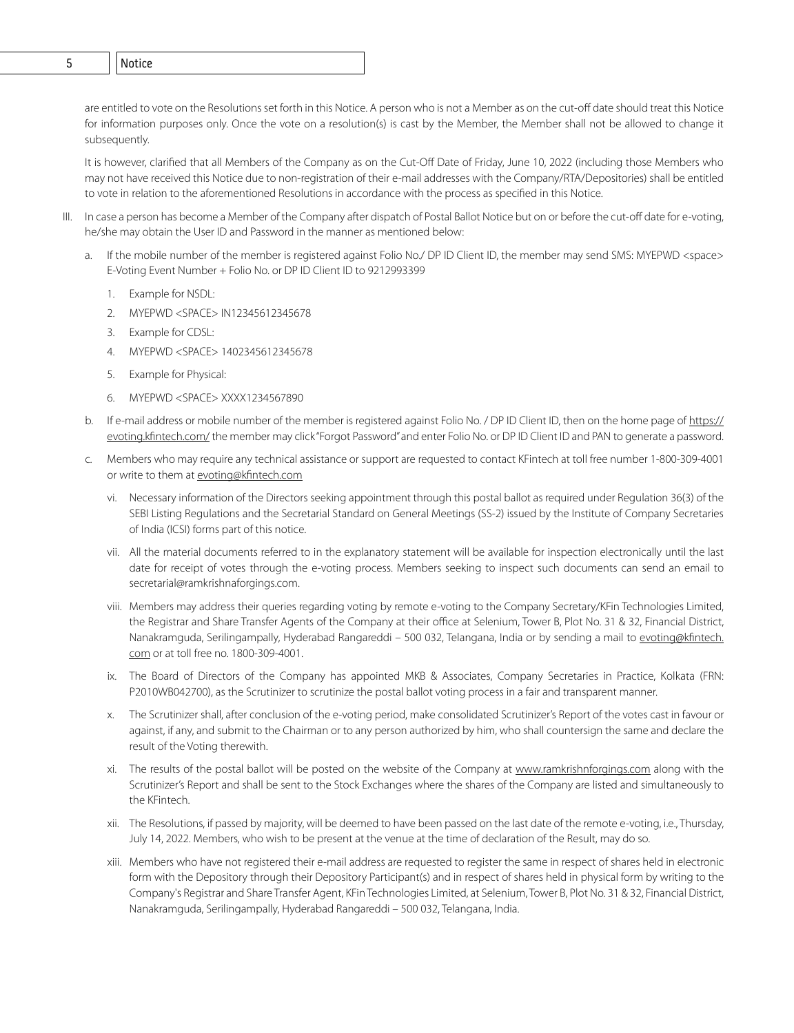4 **Ramkrishna Forgings Limited** 5 Notice

are entitled to vote on the Resolutions set forth in this Notice. A person who is not a Member as on the cut-off date should treat this Notice for information purposes only. Once the vote on a resolution(s) is cast by the Member, the Member shall not be allowed to change it subsequently.

It is however, clarified that all Members of the Company as on the Cut-Off Date of Friday, June 10, 2022 (including those Members who may not have received this Notice due to non-registration of their e-mail addresses with the Company/RTA/Depositories) shall be entitled to vote in relation to the aforementioned Resolutions in accordance with the process as specified in this Notice.

- In case a person has become a Member of the Company after dispatch of Postal Ballot Notice but on or before the cut-off date for e-voting, he/she may obtain the User ID and Password in the manner as mentioned below:
	- a. If the mobile number of the member is registered against Folio No./ DP ID Client ID, the member may send SMS: MYEPWD <space> E-Voting Event Number + Folio No. or DP ID Client ID to 9212993399
		- 1. Example for NSDL:
		- 2. MYEPWD <SPACE> IN12345612345678
		- 3. Example for CDSL:
		- 4. MYEPWD <SPACE> 1402345612345678
		- 5. Example for Physical:
		- 6. MYEPWD <SPACE> XXXX1234567890
	- b. If e-mail address or mobile number of the member is registered against Folio No. / DP ID Client ID, then on the home page of https:// evoting.kfintech.com/ the member may click "Forgot Password" and enter Folio No. or DP ID Client ID and PAN to generate a password.
	- c. Members who may require any technical assistance or support are requested to contact KFintech at toll free number 1-800-309-4001 or write to them at evoting@kfintech.com
		- vi. Necessary information of the Directors seeking appointment through this postal ballot as required under Regulation 36(3) of the SEBI Listing Regulations and the Secretarial Standard on General Meetings (SS-2) issued by the Institute of Company Secretaries of India (ICSI) forms part of this notice.
		- vii. All the material documents referred to in the explanatory statement will be available for inspection electronically until the last date for receipt of votes through the e-voting process. Members seeking to inspect such documents can send an email to secretarial@ramkrishnaforgings.com.
		- viii. Members may address their queries regarding voting by remote e-voting to the Company Secretary/KFin Technologies Limited, the Registrar and Share Transfer Agents of the Company at their office at Selenium, Tower B, Plot No. 31 & 32, Financial District, Nanakramguda, Serilingampally, Hyderabad Rangareddi – 500 032, Telangana, India or by sending a mail to evoting@kfintech. com or at toll free no. 1800-309-4001.
		- ix. The Board of Directors of the Company has appointed MKB & Associates, Company Secretaries in Practice, Kolkata (FRN: P2010WB042700), as the Scrutinizer to scrutinize the postal ballot voting process in a fair and transparent manner.
		- x. The Scrutinizer shall, after conclusion of the e-voting period, make consolidated Scrutinizer's Report of the votes cast in favour or against, if any, and submit to the Chairman or to any person authorized by him, who shall countersign the same and declare the result of the Voting therewith.
		- xi. The results of the postal ballot will be posted on the website of the Company at www.ramkrishnforgings.com along with the Scrutinizer's Report and shall be sent to the Stock Exchanges where the shares of the Company are listed and simultaneously to the KFintech.
		- xii. The Resolutions, if passed by majority, will be deemed to have been passed on the last date of the remote e-voting, i.e., Thursday, July 14, 2022. Members, who wish to be present at the venue at the time of declaration of the Result, may do so.
		- xiii. Members who have not registered their e-mail address are requested to register the same in respect of shares held in electronic form with the Depository through their Depository Participant(s) and in respect of shares held in physical form by writing to the Company's Registrar and Share Transfer Agent, KFin Technologies Limited, at Selenium, Tower B, Plot No. 31 & 32, Financial District, Nanakramguda, Serilingampally, Hyderabad Rangareddi – 500 032, Telangana, India.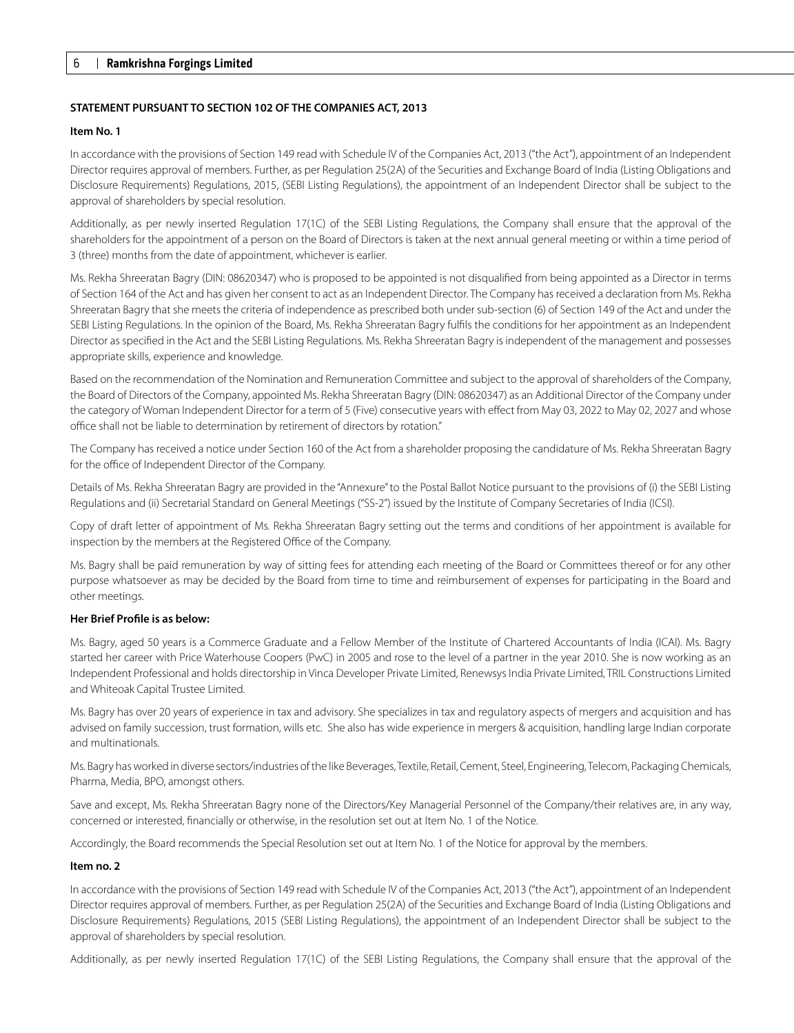## **STATEMENT PURSUANT TO SECTION 102 OF THE COMPANIES ACT, 2013**

#### **Item No. 1**

In accordance with the provisions of Section 149 read with Schedule IV of the Companies Act, 2013 ("the Act"), appointment of an Independent Director requires approval of members. Further, as per Regulation 25(2A) of the Securities and Exchange Board of India (Listing Obligations and Disclosure Requirements) Regulations, 2015, (SEBI Listing Regulations), the appointment of an Independent Director shall be subject to the approval of shareholders by special resolution.

Additionally, as per newly inserted Regulation 17(1C) of the SEBI Listing Regulations, the Company shall ensure that the approval of the shareholders for the appointment of a person on the Board of Directors is taken at the next annual general meeting or within a time period of 3 (three) months from the date of appointment, whichever is earlier.

Ms. Rekha Shreeratan Bagry (DIN: 08620347) who is proposed to be appointed is not disqualified from being appointed as a Director in terms of Section 164 of the Act and has given her consent to act as an Independent Director. The Company has received a declaration from Ms. Rekha Shreeratan Bagry that she meets the criteria of independence as prescribed both under sub-section (6) of Section 149 of the Act and under the SEBI Listing Regulations. In the opinion of the Board, Ms. Rekha Shreeratan Bagry fulfils the conditions for her appointment as an Independent Director as specified in the Act and the SEBI Listing Regulations. Ms. Rekha Shreeratan Bagry is independent of the management and possesses appropriate skills, experience and knowledge.

Based on the recommendation of the Nomination and Remuneration Committee and subject to the approval of shareholders of the Company, the Board of Directors of the Company, appointed Ms. Rekha Shreeratan Bagry (DIN: 08620347) as an Additional Director of the Company under the category of Woman Independent Director for a term of 5 (Five) consecutive years with effect from May 03, 2022 to May 02, 2027 and whose office shall not be liable to determination by retirement of directors by rotation."

The Company has received a notice under Section 160 of the Act from a shareholder proposing the candidature of Ms. Rekha Shreeratan Bagry for the office of Independent Director of the Company.

Details of Ms. Rekha Shreeratan Bagry are provided in the "Annexure" to the Postal Ballot Notice pursuant to the provisions of (i) the SEBI Listing Regulations and (ii) Secretarial Standard on General Meetings ("SS-2") issued by the Institute of Company Secretaries of India (ICSI).

Copy of draft letter of appointment of Ms. Rekha Shreeratan Bagry setting out the terms and conditions of her appointment is available for inspection by the members at the Registered Office of the Company.

Ms. Bagry shall be paid remuneration by way of sitting fees for attending each meeting of the Board or Committees thereof or for any other purpose whatsoever as may be decided by the Board from time to time and reimbursement of expenses for participating in the Board and other meetings.

#### **Her Brief Profile is as below:**

Ms. Bagry, aged 50 years is a Commerce Graduate and a Fellow Member of the Institute of Chartered Accountants of India (ICAI). Ms. Bagry started her career with Price Waterhouse Coopers (PwC) in 2005 and rose to the level of a partner in the year 2010. She is now working as an Independent Professional and holds directorship in Vinca Developer Private Limited, Renewsys India Private Limited, TRIL Constructions Limited and Whiteoak Capital Trustee Limited.

Ms. Bagry has over 20 years of experience in tax and advisory. She specializes in tax and regulatory aspects of mergers and acquisition and has advised on family succession, trust formation, wills etc. She also has wide experience in mergers & acquisition, handling large Indian corporate and multinationals.

Ms. Bagry has worked in diverse sectors/industries of the like Beverages, Textile, Retail, Cement, Steel, Engineering, Telecom, Packaging Chemicals, Pharma, Media, BPO, amongst others.

Save and except, Ms. Rekha Shreeratan Bagry none of the Directors/Key Managerial Personnel of the Company/their relatives are, in any way, concerned or interested, financially or otherwise, in the resolution set out at Item No. 1 of the Notice.

Accordingly, the Board recommends the Special Resolution set out at Item No. 1 of the Notice for approval by the members.

#### **Item no. 2**

In accordance with the provisions of Section 149 read with Schedule IV of the Companies Act, 2013 ("the Act"), appointment of an Independent Director requires approval of members. Further, as per Regulation 25(2A) of the Securities and Exchange Board of India (Listing Obligations and Disclosure Requirements) Regulations, 2015 (SEBI Listing Regulations), the appointment of an Independent Director shall be subject to the approval of shareholders by special resolution.

Additionally, as per newly inserted Regulation 17(1C) of the SEBI Listing Regulations, the Company shall ensure that the approval of the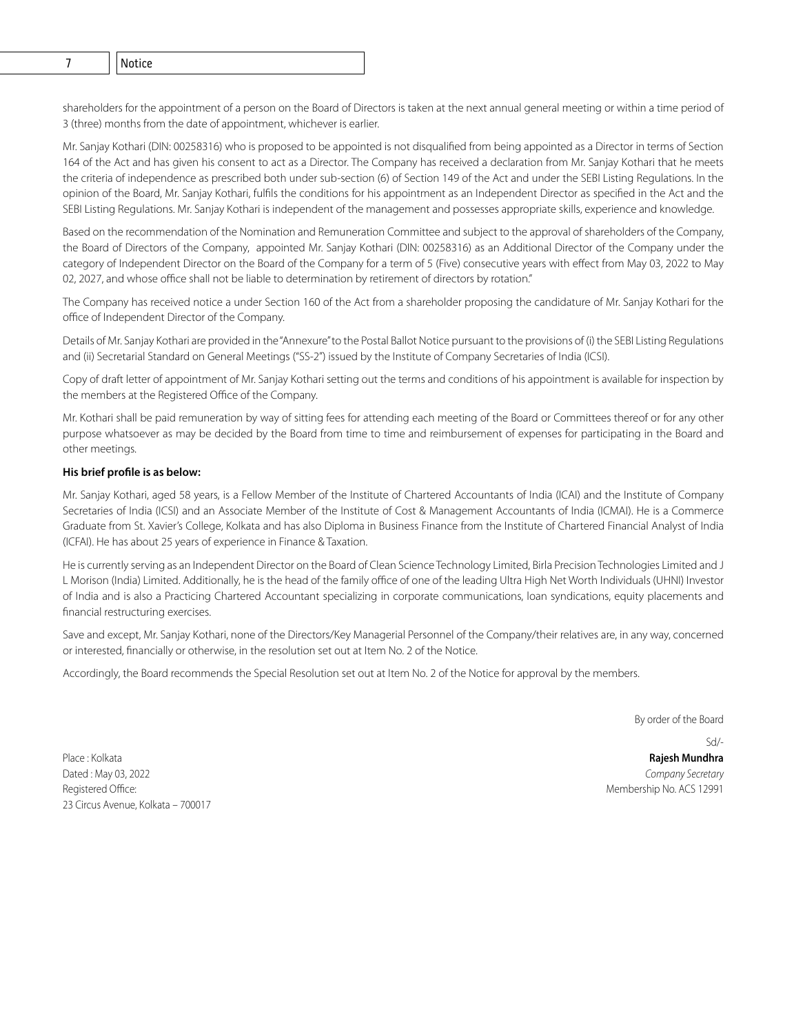shareholders for the appointment of a person on the Board of Directors is taken at the next annual general meeting or within a time period of 3 (three) months from the date of appointment, whichever is earlier.

Mr. Sanjay Kothari (DIN: 00258316) who is proposed to be appointed is not disqualified from being appointed as a Director in terms of Section 164 of the Act and has given his consent to act as a Director. The Company has received a declaration from Mr. Sanjay Kothari that he meets the criteria of independence as prescribed both under sub-section (6) of Section 149 of the Act and under the SEBI Listing Regulations. In the opinion of the Board, Mr. Sanjay Kothari, fulfils the conditions for his appointment as an Independent Director as specified in the Act and the SEBI Listing Regulations. Mr. Sanjay Kothari is independent of the management and possesses appropriate skills, experience and knowledge.

Based on the recommendation of the Nomination and Remuneration Committee and subject to the approval of shareholders of the Company, the Board of Directors of the Company, appointed Mr. Sanjay Kothari (DIN: 00258316) as an Additional Director of the Company under the category of Independent Director on the Board of the Company for a term of 5 (Five) consecutive years with effect from May 03, 2022 to May 02, 2027, and whose office shall not be liable to determination by retirement of directors by rotation."

The Company has received notice a under Section 160 of the Act from a shareholder proposing the candidature of Mr. Sanjay Kothari for the office of Independent Director of the Company.

Details of Mr. Sanjay Kothari are provided in the "Annexure" to the Postal Ballot Notice pursuant to the provisions of (i) the SEBI Listing Regulations and (ii) Secretarial Standard on General Meetings ("SS-2") issued by the Institute of Company Secretaries of India (ICSI).

Copy of draft letter of appointment of Mr. Sanjay Kothari setting out the terms and conditions of his appointment is available for inspection by the members at the Registered Office of the Company.

Mr. Kothari shall be paid remuneration by way of sitting fees for attending each meeting of the Board or Committees thereof or for any other purpose whatsoever as may be decided by the Board from time to time and reimbursement of expenses for participating in the Board and other meetings.

## **His brief profile is as below:**

Mr. Sanjay Kothari, aged 58 years, is a Fellow Member of the Institute of Chartered Accountants of India (ICAI) and the Institute of Company Secretaries of India (ICSI) and an Associate Member of the Institute of Cost & Management Accountants of India (ICMAI). He is a Commerce Graduate from St. Xavier's College, Kolkata and has also Diploma in Business Finance from the Institute of Chartered Financial Analyst of India (ICFAI). He has about 25 years of experience in Finance & Taxation.

He is currently serving as an Independent Director on the Board of Clean Science Technology Limited, Birla Precision Technologies Limited and J L Morison (India) Limited. Additionally, he is the head of the family office of one of the leading Ultra High Net Worth Individuals (UHNI) Investor of India and is also a Practicing Chartered Accountant specializing in corporate communications, loan syndications, equity placements and financial restructuring exercises.

Save and except, Mr. Sanjay Kothari, none of the Directors/Key Managerial Personnel of the Company/their relatives are, in any way, concerned or interested, financially or otherwise, in the resolution set out at Item No. 2 of the Notice.

Accordingly, the Board recommends the Special Resolution set out at Item No. 2 of the Notice for approval by the members.

By order of the Board

Place : Kolkata **Rajesh Mundhra** Dated : May 03, 2022 *Company Secretary* Registered Office: The contract of the contract of the contract of the contract of the Membership No. ACS 12991 23 Circus Avenue, Kolkata – 700017

 $Sd/$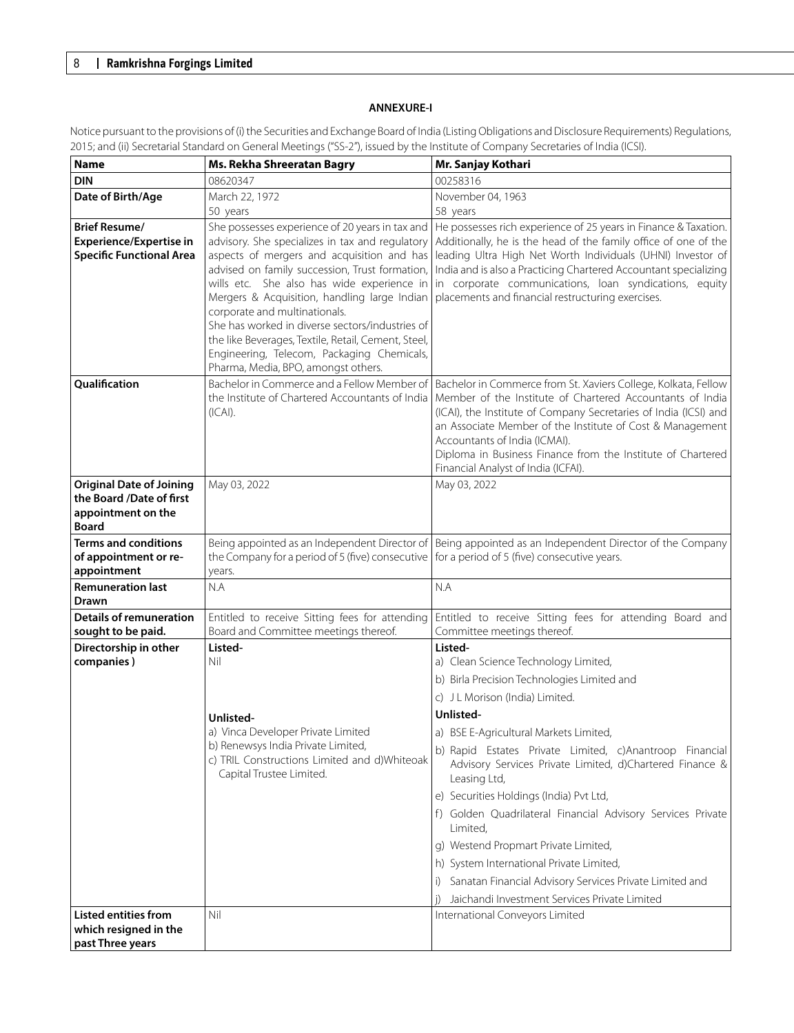# **ANNEXURE-I**

| <b>Name</b>                                                                                       | Ms. Rekha Shreeratan Bagry                                                                                                                                                                                                                                                                                                                                                                                                                                                                                                       | Mr. Sanjay Kothari                                                                                                                                                                                                                                                                                                                                                                                                                                                                                                                                                                                                                         |
|---------------------------------------------------------------------------------------------------|----------------------------------------------------------------------------------------------------------------------------------------------------------------------------------------------------------------------------------------------------------------------------------------------------------------------------------------------------------------------------------------------------------------------------------------------------------------------------------------------------------------------------------|--------------------------------------------------------------------------------------------------------------------------------------------------------------------------------------------------------------------------------------------------------------------------------------------------------------------------------------------------------------------------------------------------------------------------------------------------------------------------------------------------------------------------------------------------------------------------------------------------------------------------------------------|
| <b>DIN</b>                                                                                        | 08620347                                                                                                                                                                                                                                                                                                                                                                                                                                                                                                                         | 00258316                                                                                                                                                                                                                                                                                                                                                                                                                                                                                                                                                                                                                                   |
| Date of Birth/Age                                                                                 | March 22, 1972                                                                                                                                                                                                                                                                                                                                                                                                                                                                                                                   | November 04, 1963                                                                                                                                                                                                                                                                                                                                                                                                                                                                                                                                                                                                                          |
|                                                                                                   | 50 years                                                                                                                                                                                                                                                                                                                                                                                                                                                                                                                         | 58 years                                                                                                                                                                                                                                                                                                                                                                                                                                                                                                                                                                                                                                   |
| <b>Brief Resume/</b><br><b>Experience/Expertise in</b><br><b>Specific Functional Area</b>         | She possesses experience of 20 years in tax and<br>advisory. She specializes in tax and regulatory<br>aspects of mergers and acquisition and has<br>advised on family succession, Trust formation,<br>wills etc. She also has wide experience in<br>Mergers & Acquisition, handling large Indian<br>corporate and multinationals.<br>She has worked in diverse sectors/industries of<br>the like Beverages, Textile, Retail, Cement, Steel,<br>Engineering, Telecom, Packaging Chemicals,<br>Pharma, Media, BPO, amongst others. | He possesses rich experience of 25 years in Finance & Taxation.<br>Additionally, he is the head of the family office of one of the<br>leading Ultra High Net Worth Individuals (UHNI) Investor of<br>India and is also a Practicing Chartered Accountant specializing<br>in corporate communications, loan syndications, equity<br>placements and financial restructuring exercises.                                                                                                                                                                                                                                                       |
| Qualification                                                                                     | $( CA )$ .                                                                                                                                                                                                                                                                                                                                                                                                                                                                                                                       | Bachelor in Commerce and a Fellow Member of   Bachelor in Commerce from St. Xaviers College, Kolkata, Fellow<br>the Institute of Chartered Accountants of India   Member of the Institute of Chartered Accountants of India<br>(ICAI), the Institute of Company Secretaries of India (ICSI) and<br>an Associate Member of the Institute of Cost & Management<br>Accountants of India (ICMAI).<br>Diploma in Business Finance from the Institute of Chartered<br>Financial Analyst of India (ICFAI).                                                                                                                                        |
| <b>Original Date of Joining</b><br>the Board /Date of first<br>appointment on the<br><b>Board</b> | May 03, 2022                                                                                                                                                                                                                                                                                                                                                                                                                                                                                                                     | May 03, 2022                                                                                                                                                                                                                                                                                                                                                                                                                                                                                                                                                                                                                               |
| <b>Terms and conditions</b><br>of appointment or re-<br>appointment                               | Being appointed as an Independent Director of<br>the Company for a period of 5 (five) consecutive<br>years.                                                                                                                                                                                                                                                                                                                                                                                                                      | Being appointed as an Independent Director of the Company<br>for a period of 5 (five) consecutive years.                                                                                                                                                                                                                                                                                                                                                                                                                                                                                                                                   |
| <b>Remuneration last</b><br><b>Drawn</b>                                                          | N.A                                                                                                                                                                                                                                                                                                                                                                                                                                                                                                                              | N.A                                                                                                                                                                                                                                                                                                                                                                                                                                                                                                                                                                                                                                        |
| <b>Details of remuneration</b><br>sought to be paid.                                              | Entitled to receive Sitting fees for attending<br>Board and Committee meetings thereof.                                                                                                                                                                                                                                                                                                                                                                                                                                          | Entitled to receive Sitting fees for attending Board and<br>Committee meetings thereof.                                                                                                                                                                                                                                                                                                                                                                                                                                                                                                                                                    |
| Directorship in other                                                                             | Listed-                                                                                                                                                                                                                                                                                                                                                                                                                                                                                                                          | Listed-                                                                                                                                                                                                                                                                                                                                                                                                                                                                                                                                                                                                                                    |
| companies)                                                                                        | Nil<br>Unlisted-<br>a) Vinca Developer Private Limited<br>b) Renewsys India Private Limited,<br>c) TRIL Constructions Limited and d)Whiteoak<br>Capital Trustee Limited.                                                                                                                                                                                                                                                                                                                                                         | a) Clean Science Technology Limited,<br>b) Birla Precision Technologies Limited and<br>c) J L Morison (India) Limited.<br>Unlisted-<br>a) BSE E-Agricultural Markets Limited,<br>b) Rapid Estates Private Limited, c)Anantroop Financial<br>Advisory Services Private Limited, d)Chartered Finance &<br>Leasing Ltd,<br>e) Securities Holdings (India) Pvt Ltd,<br>f) Golden Quadrilateral Financial Advisory Services Private<br>Limited,<br>g) Westend Propmart Private Limited,<br>h) System International Private Limited,<br>Sanatan Financial Advisory Services Private Limited and<br>Jaichandi Investment Services Private Limited |
| <b>Listed entities from</b><br>which resigned in the<br>past Three years                          | Nil                                                                                                                                                                                                                                                                                                                                                                                                                                                                                                                              | International Conveyors Limited                                                                                                                                                                                                                                                                                                                                                                                                                                                                                                                                                                                                            |

Notice pursuant to the provisions of (i) the Securities and Exchange Board of India (Listing Obligations and Disclosure Requirements) Regulations, 2015; and (ii) Secretarial Standard on General Meetings ("SS-2"), issued by the Institute of Company Secretaries of India (ICSI).